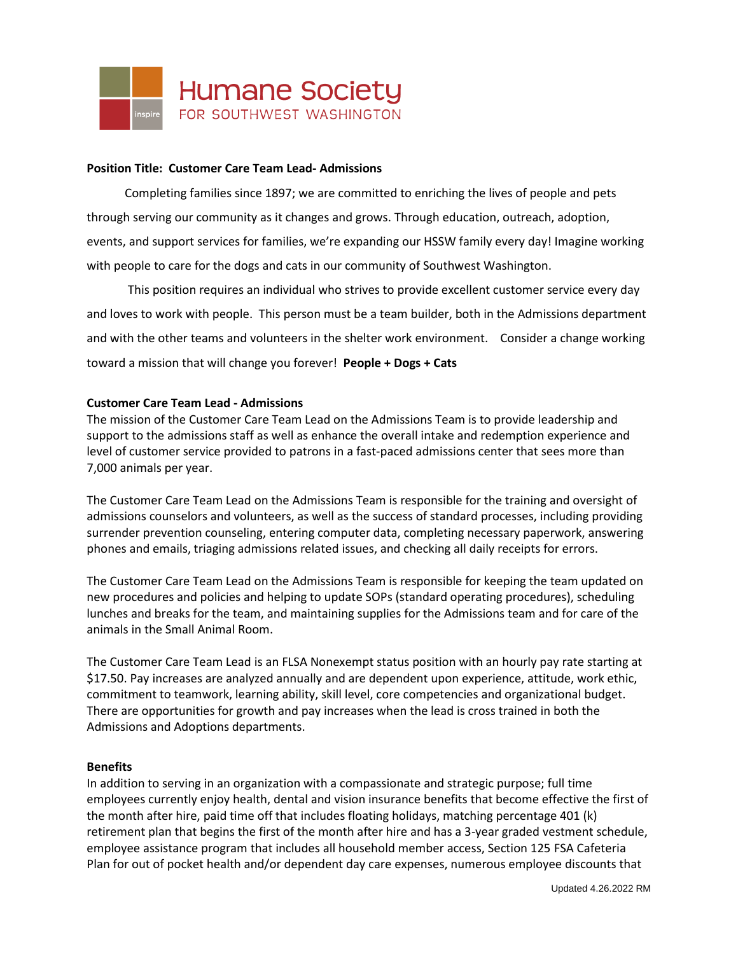

#### **Position Title: Customer Care Team Lead- Admissions**

Completing families since 1897; we are committed to enriching the lives of people and pets through serving our community as it changes and grows. Through education, outreach, adoption, events, and support services for families, we're expanding our HSSW family every day! Imagine working with people to care for the dogs and cats in our community of Southwest Washington.

This position requires an individual who strives to provide excellent customer service every day and loves to work with people. This person must be a team builder, both in the Admissions department and with the other teams and volunteers in the shelter work environment. Consider a change working toward a mission that will change you forever! **People + Dogs + Cats**

## **Customer Care Team Lead - Admissions**

The mission of the Customer Care Team Lead on the Admissions Team is to provide leadership and support to the admissions staff as well as enhance the overall intake and redemption experience and level of customer service provided to patrons in a fast-paced admissions center that sees more than 7,000 animals per year.

The Customer Care Team Lead on the Admissions Team is responsible for the training and oversight of admissions counselors and volunteers, as well as the success of standard processes, including providing surrender prevention counseling, entering computer data, completing necessary paperwork, answering phones and emails, triaging admissions related issues, and checking all daily receipts for errors.

The Customer Care Team Lead on the Admissions Team is responsible for keeping the team updated on new procedures and policies and helping to update SOPs (standard operating procedures), scheduling lunches and breaks for the team, and maintaining supplies for the Admissions team and for care of the animals in the Small Animal Room.

The Customer Care Team Lead is an FLSA Nonexempt status position with an hourly pay rate starting at \$17.50. Pay increases are analyzed annually and are dependent upon experience, attitude, work ethic, commitment to teamwork, learning ability, skill level, core competencies and organizational budget. There are opportunities for growth and pay increases when the lead is cross trained in both the Admissions and Adoptions departments.

#### **Benefits**

In addition to serving in an organization with a compassionate and strategic purpose; full time employees currently enjoy health, dental and vision insurance benefits that become effective the first of the month after hire, paid time off that includes floating holidays, matching percentage 401 (k) retirement plan that begins the first of the month after hire and has a 3-year graded vestment schedule, employee assistance program that includes all household member access, Section 125 FSA Cafeteria Plan for out of pocket health and/or dependent day care expenses, numerous employee discounts that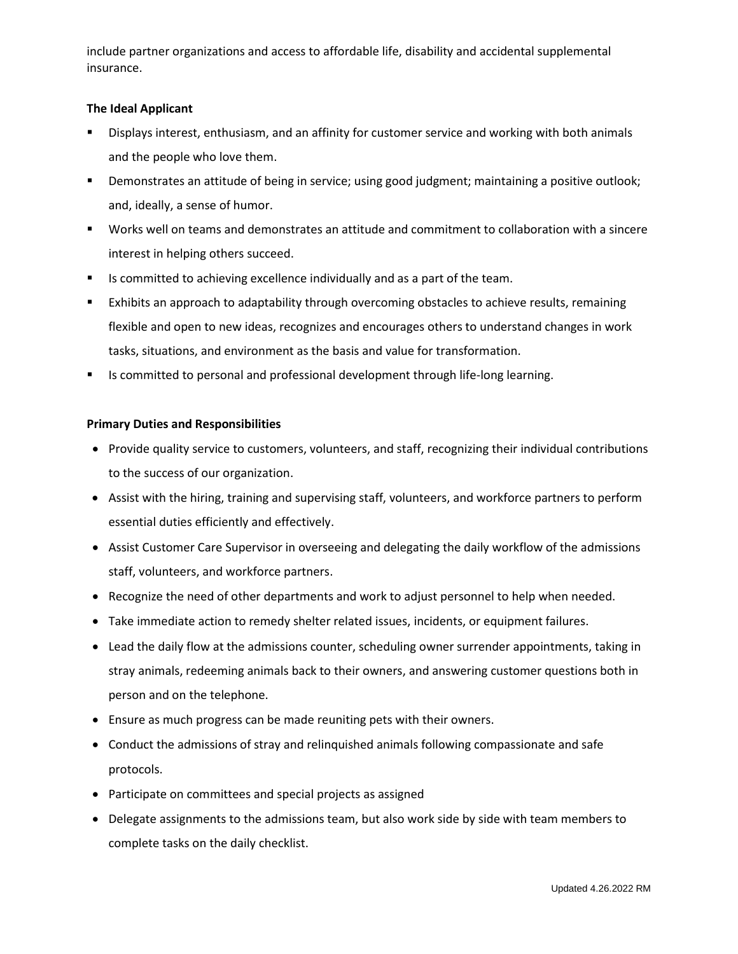include partner organizations and access to affordable life, disability and accidental supplemental insurance.

## **The Ideal Applicant**

- Displays interest, enthusiasm, and an affinity for customer service and working with both animals and the people who love them.
- Demonstrates an attitude of being in service; using good judgment; maintaining a positive outlook; and, ideally, a sense of humor.
- Works well on teams and demonstrates an attitude and commitment to collaboration with a sincere interest in helping others succeed.
- Is committed to achieving excellence individually and as a part of the team.
- Exhibits an approach to adaptability through overcoming obstacles to achieve results, remaining flexible and open to new ideas, recognizes and encourages others to understand changes in work tasks, situations, and environment as the basis and value for transformation.
- Is committed to personal and professional development through life-long learning.

## **Primary Duties and Responsibilities**

- Provide quality service to customers, volunteers, and staff, recognizing their individual contributions to the success of our organization.
- Assist with the hiring, training and supervising staff, volunteers, and workforce partners to perform essential duties efficiently and effectively.
- Assist Customer Care Supervisor in overseeing and delegating the daily workflow of the admissions staff, volunteers, and workforce partners.
- Recognize the need of other departments and work to adjust personnel to help when needed.
- Take immediate action to remedy shelter related issues, incidents, or equipment failures.
- Lead the daily flow at the admissions counter, scheduling owner surrender appointments, taking in stray animals, redeeming animals back to their owners, and answering customer questions both in person and on the telephone.
- Ensure as much progress can be made reuniting pets with their owners.
- Conduct the admissions of stray and relinquished animals following compassionate and safe protocols.
- Participate on committees and special projects as assigned
- Delegate assignments to the admissions team, but also work side by side with team members to complete tasks on the daily checklist.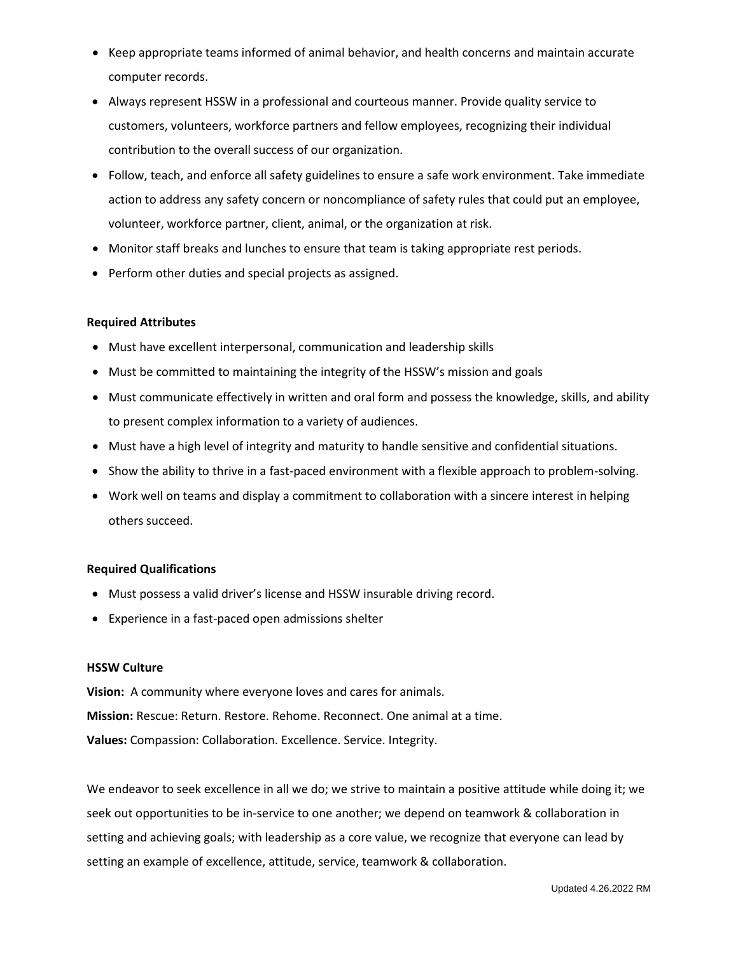- Keep appropriate teams informed of animal behavior, and health concerns and maintain accurate computer records.
- Always represent HSSW in a professional and courteous manner. Provide quality service to customers, volunteers, workforce partners and fellow employees, recognizing their individual contribution to the overall success of our organization.
- Follow, teach, and enforce all safety guidelines to ensure a safe work environment. Take immediate action to address any safety concern or noncompliance of safety rules that could put an employee, volunteer, workforce partner, client, animal, or the organization at risk.
- Monitor staff breaks and lunches to ensure that team is taking appropriate rest periods.
- Perform other duties and special projects as assigned.

## **Required Attributes**

- Must have excellent interpersonal, communication and leadership skills
- Must be committed to maintaining the integrity of the HSSW's mission and goals
- Must communicate effectively in written and oral form and possess the knowledge, skills, and ability to present complex information to a variety of audiences.
- Must have a high level of integrity and maturity to handle sensitive and confidential situations.
- Show the ability to thrive in a fast-paced environment with a flexible approach to problem-solving.
- Work well on teams and display a commitment to collaboration with a sincere interest in helping others succeed.

#### **Required Qualifications**

- Must possess a valid driver's license and HSSW insurable driving record.
- Experience in a fast-paced open admissions shelter

#### **HSSW Culture**

**Vision:** A community where everyone loves and cares for animals. **Mission:** Rescue: Return. Restore. Rehome. Reconnect. One animal at a time. **Values:** Compassion: Collaboration. Excellence. Service. Integrity.

We endeavor to seek excellence in all we do; we strive to maintain a positive attitude while doing it; we seek out opportunities to be in-service to one another; we depend on teamwork & collaboration in setting and achieving goals; with leadership as a core value, we recognize that everyone can lead by setting an example of excellence, attitude, service, teamwork & collaboration.